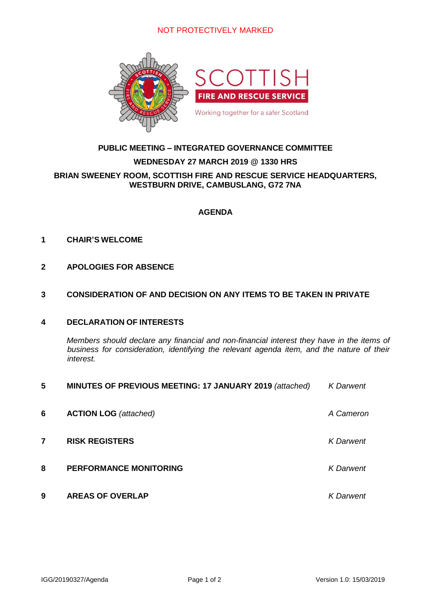## NOT PROTECTIVELY MARKED



# **PUBLIC MEETING – INTEGRATED GOVERNANCE COMMITTEE**

#### **WEDNESDAY 27 MARCH 2019 @ 1330 HRS**

### **BRIAN SWEENEY ROOM, SCOTTISH FIRE AND RESCUE SERVICE HEADQUARTERS, WESTBURN DRIVE, CAMBUSLANG, G72 7NA**

## **AGENDA**

#### **1 CHAIR'S WELCOME**

### **2 APOLOGIES FOR ABSENCE**

#### **3 CONSIDERATION OF AND DECISION ON ANY ITEMS TO BE TAKEN IN PRIVATE**

# **4 DECLARATION OF INTERESTS**

*Members should declare any financial and non-financial interest they have in the items of business for consideration, identifying the relevant agenda item, and the nature of their interest.*

| 5 | MINUTES OF PREVIOUS MEETING: 17 JANUARY 2019 (attached) | <b>K</b> Darwent |
|---|---------------------------------------------------------|------------------|
| 6 | <b>ACTION LOG</b> (attached)                            | A Cameron        |
| 7 | <b>RISK REGISTERS</b>                                   | <b>K</b> Darwent |
| 8 | <b>PERFORMANCE MONITORING</b>                           | <b>K</b> Darwent |
| 9 | <b>AREAS OF OVERLAP</b>                                 | <b>K</b> Darwent |